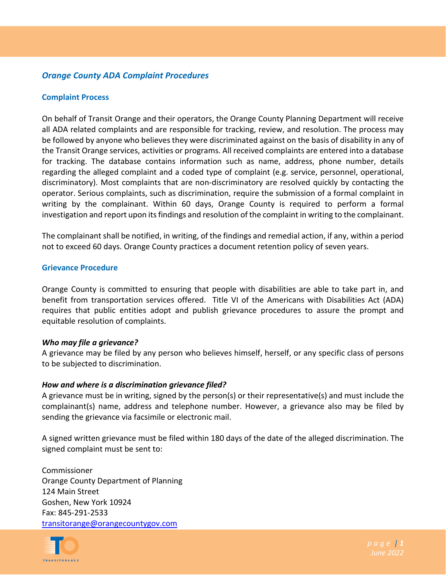# *Orange County ADA Complaint Procedures*

### **Complaint Process**

On behalf of Transit Orange and their operators, the Orange County Planning Department will receive all ADA related complaints and are responsible for tracking, review, and resolution. The process may be followed by anyone who believes they were discriminated against on the basis of disability in any of the Transit Orange services, activities or programs. All received complaints are entered into a database for tracking. The database contains information such as name, address, phone number, details regarding the alleged complaint and a coded type of complaint (e.g. service, personnel, operational, discriminatory). Most complaints that are non-discriminatory are resolved quickly by contacting the operator. Serious complaints, such as discrimination, require the submission of a formal complaint in writing by the complainant. Within 60 days, Orange County is required to perform a formal investigation and report upon its findings and resolution of the complaint in writing to the complainant.

The complainant shall be notified, in writing, of the findings and remedial action, if any, within a period not to exceed 60 days. Orange County practices a document retention policy of seven years.

#### **Grievance Procedure**

Orange County is committed to ensuring that people with disabilities are able to take part in, and benefit from transportation services offered. Title VI of the Americans with Disabilities Act (ADA) requires that public entities adopt and publish grievance procedures to assure the prompt and equitable resolution of complaints.

#### *Who may file a grievance?*

A grievance may be filed by any person who believes himself, herself, or any specific class of persons to be subjected to discrimination.

### *How and where is a discrimination grievance filed?*

A grievance must be in writing, signed by the person(s) or their representative(s) and must include the complainant(s) name, address and telephone number. However, a grievance also may be filed by sending the grievance via facsimile or electronic mail.

A signed written grievance must be filed within 180 days of the date of the alleged discrimination. The signed complaint must be sent to:

Commissioner Orange County Department of Planning 124 Main Street Goshen, New York 10924 Fax: 845-291-2533 [transitorange@orangecountygov.com](mailto:transitorange@orangecountygov.com)